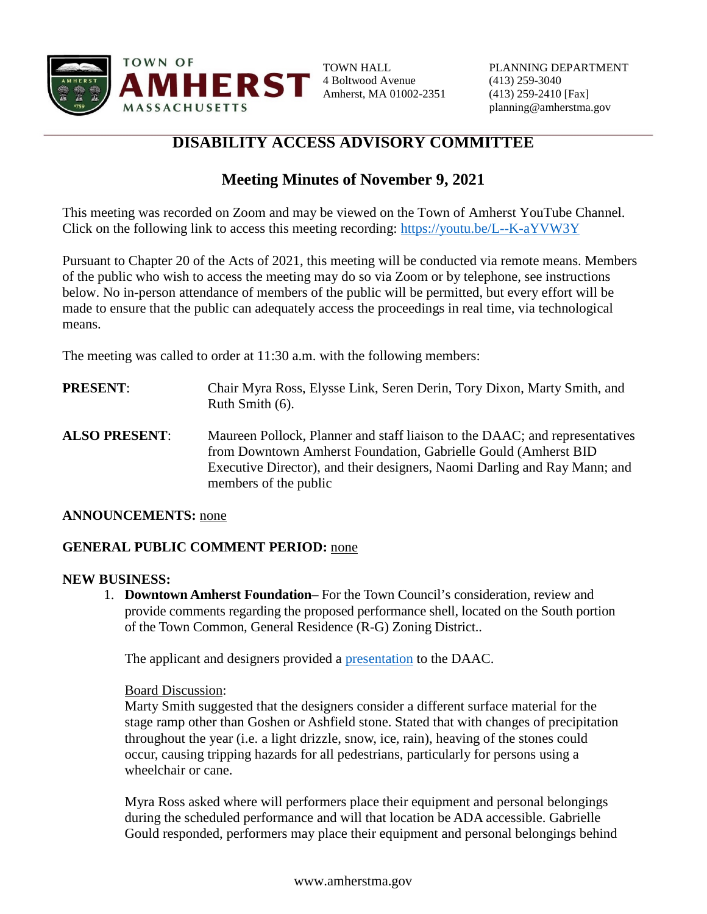

4 Boltwood Avenue (413) 259-3040 Amherst, MA 01002-2351 (413) 259-2410 [Fax]

## **DISABILITY ACCESS ADVISORY COMMITTEE**

# **Meeting Minutes of November 9, 2021**

This meeting was recorded on Zoom and may be viewed on the Town of Amherst YouTube Channel. Click on the following link to access this meeting recording:<https://youtu.be/L--K-aYVW3Y>

Pursuant to Chapter 20 of the Acts of 2021, this meeting will be conducted via remote means. Members of the public who wish to access the meeting may do so via Zoom or by telephone, see instructions below. No in-person attendance of members of the public will be permitted, but every effort will be made to ensure that the public can adequately access the proceedings in real time, via technological means.

The meeting was called to order at 11:30 a.m. with the following members:

- **PRESENT**: Chair Myra Ross, Elysse Link, Seren Derin, Tory Dixon, Marty Smith, and Ruth Smith (6).
- **ALSO PRESENT**: Maureen Pollock, Planner and staff liaison to the DAAC; and representatives from Downtown Amherst Foundation, Gabrielle Gould (Amherst BID Executive Director), and their designers, Naomi Darling and Ray Mann; and members of the public

## **ANNOUNCEMENTS:** none

## **GENERAL PUBLIC COMMENT PERIOD:** none

#### **NEW BUSINESS:**

1. **Downtown Amherst Foundation**– For the Town Council's consideration, review and provide comments regarding the proposed performance shell, located on the South portion of the Town Common, General Residence (R-G) Zoning District..

The applicant and designers provided a [presentation](https://www.amherstma.gov/DocumentCenter/View/58811/Performance-Shell-Presentation-dated-11022021) to the DAAC.

#### Board Discussion:

Marty Smith suggested that the designers consider a different surface material for the stage ramp other than Goshen or Ashfield stone. Stated that with changes of precipitation throughout the year (i.e. a light drizzle, snow, ice, rain), heaving of the stones could occur, causing tripping hazards for all pedestrians, particularly for persons using a wheelchair or cane.

Myra Ross asked where will performers place their equipment and personal belongings during the scheduled performance and will that location be ADA accessible. Gabrielle Gould responded, performers may place their equipment and personal belongings behind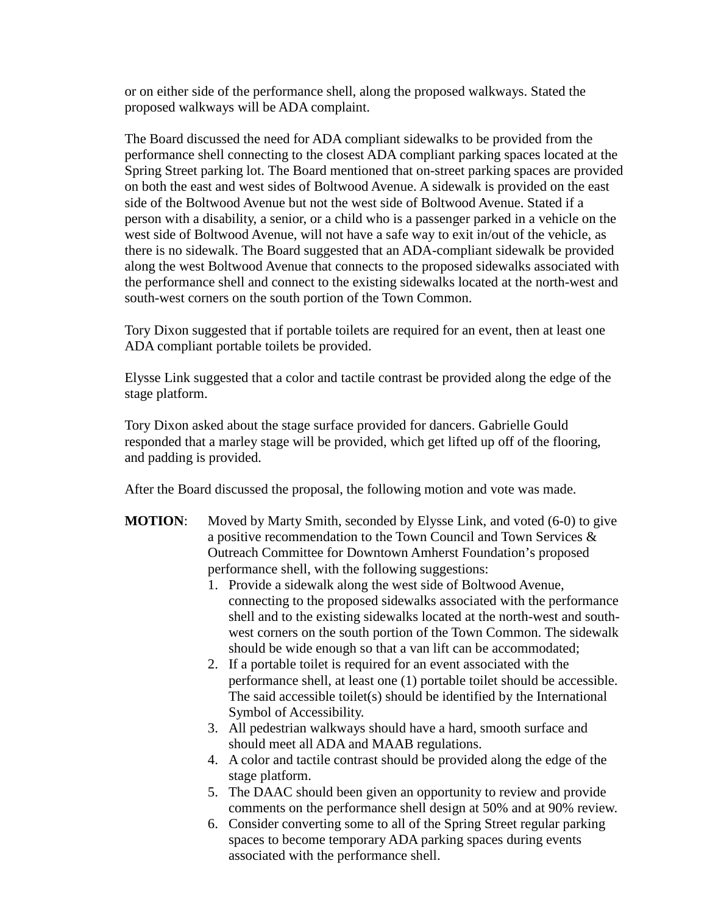or on either side of the performance shell, along the proposed walkways. Stated the proposed walkways will be ADA complaint.

The Board discussed the need for ADA compliant sidewalks to be provided from the performance shell connecting to the closest ADA compliant parking spaces located at the Spring Street parking lot. The Board mentioned that on-street parking spaces are provided on both the east and west sides of Boltwood Avenue. A sidewalk is provided on the east side of the Boltwood Avenue but not the west side of Boltwood Avenue. Stated if a person with a disability, a senior, or a child who is a passenger parked in a vehicle on the west side of Boltwood Avenue, will not have a safe way to exit in/out of the vehicle, as there is no sidewalk. The Board suggested that an ADA-compliant sidewalk be provided along the west Boltwood Avenue that connects to the proposed sidewalks associated with the performance shell and connect to the existing sidewalks located at the north-west and south-west corners on the south portion of the Town Common.

Tory Dixon suggested that if portable toilets are required for an event, then at least one ADA compliant portable toilets be provided.

Elysse Link suggested that a color and tactile contrast be provided along the edge of the stage platform.

Tory Dixon asked about the stage surface provided for dancers. Gabrielle Gould responded that a marley stage will be provided, which get lifted up off of the flooring, and padding is provided.

After the Board discussed the proposal, the following motion and vote was made.

- **MOTION:** Moved by Marty Smith, seconded by Elysse Link, and voted (6-0) to give a positive recommendation to the Town Council and Town Services & Outreach Committee for Downtown Amherst Foundation's proposed performance shell, with the following suggestions:
	- 1. Provide a sidewalk along the west side of Boltwood Avenue, connecting to the proposed sidewalks associated with the performance shell and to the existing sidewalks located at the north-west and southwest corners on the south portion of the Town Common. The sidewalk should be wide enough so that a van lift can be accommodated;
	- 2. If a portable toilet is required for an event associated with the performance shell, at least one (1) portable toilet should be accessible. The said accessible toilet(s) should be identified by the International Symbol of Accessibility.
	- 3. All pedestrian walkways should have a hard, smooth surface and should meet all ADA and MAAB regulations.
	- 4. A color and tactile contrast should be provided along the edge of the stage platform.
	- 5. The DAAC should been given an opportunity to review and provide comments on the performance shell design at 50% and at 90% review.
	- 6. Consider converting some to all of the Spring Street regular parking spaces to become temporary ADA parking spaces during events associated with the performance shell.